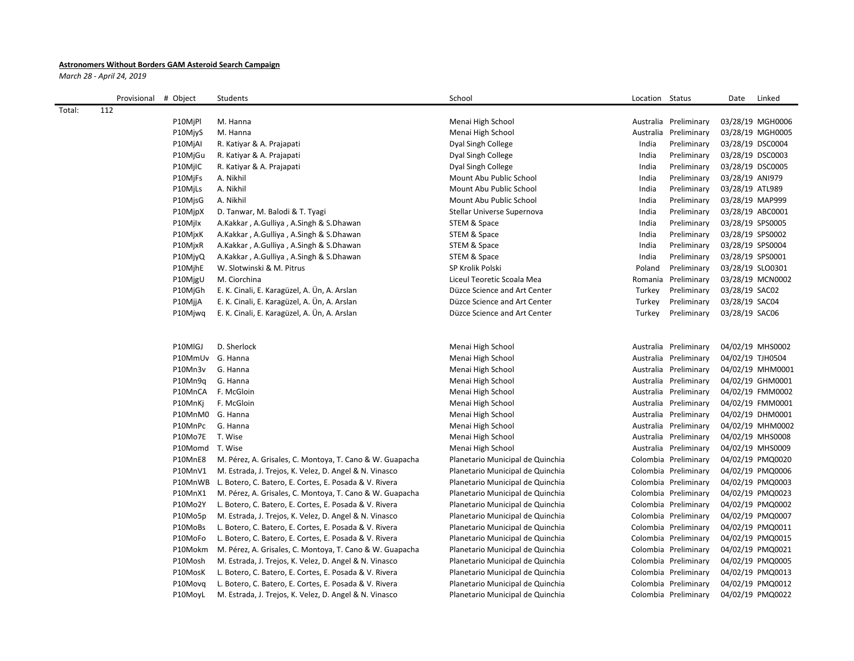## **Astronomers Without Borders GAM Asteroid Search Campaign**

*March 28 - April 24, 2019*

|        | Provisional # Object |                  | Students                                                       | School                           | Location Status |                       | Date             | Linked           |
|--------|----------------------|------------------|----------------------------------------------------------------|----------------------------------|-----------------|-----------------------|------------------|------------------|
| Total: | 112                  |                  |                                                                |                                  |                 |                       |                  |                  |
|        |                      | P10MjPl          | M. Hanna                                                       | Menai High School                |                 | Australia Preliminary |                  | 03/28/19 MGH0006 |
|        |                      | P10MjyS          | M. Hanna                                                       | Menai High School                |                 | Australia Preliminary |                  | 03/28/19 MGH0005 |
|        |                      | P10MjAI          | R. Katiyar & A. Prajapati                                      | Dyal Singh College               | India           | Preliminary           | 03/28/19 DSC0004 |                  |
|        |                      | P10MjGu          | R. Katiyar & A. Prajapati                                      | Dyal Singh College               | India           | Preliminary           | 03/28/19 DSC0003 |                  |
|        |                      | P10MilC          | R. Katiyar & A. Prajapati                                      | Dyal Singh College               | India           | Preliminary           | 03/28/19 DSC0005 |                  |
|        |                      | P10MjFs          | A. Nikhil                                                      | Mount Abu Public School          | India           | Preliminary           | 03/28/19 ANI979  |                  |
|        |                      | P10MjLs          | A. Nikhil                                                      | Mount Abu Public School          | India           | Preliminary           | 03/28/19 ATL989  |                  |
|        |                      | P10MjsG          | A. Nikhil                                                      | Mount Abu Public School          | India           | Preliminary           | 03/28/19 MAP999  |                  |
|        |                      | P10MjpX          | D. Tanwar, M. Balodi & T. Tyagi                                | Stellar Universe Supernova       | India           | Preliminary           | 03/28/19 ABC0001 |                  |
|        |                      | P10Mjlx          | A.Kakkar, A.Gulliya, A.Singh & S.Dhawan                        | STEM & Space                     | India           | Preliminary           | 03/28/19 SPS0005 |                  |
|        |                      | P10MjxK          | A.Kakkar, A.Gulliya, A.Singh & S.Dhawan                        | STEM & Space                     | India           | Preliminary           | 03/28/19 SPS0002 |                  |
|        |                      | P10MjxR          | A.Kakkar, A.Gulliya, A.Singh & S.Dhawan                        | STEM & Space                     | India           | Preliminary           | 03/28/19 SPS0004 |                  |
|        |                      | P10MjyQ          | A.Kakkar, A.Gulliya, A.Singh & S.Dhawan                        | STEM & Space                     | India           | Preliminary           | 03/28/19 SPS0001 |                  |
|        |                      | P10MjhE          | W. Slotwinski & M. Pitrus                                      | SP Krolik Polski                 | Poland          | Preliminary           | 03/28/19 SLO0301 |                  |
|        |                      | P10MjgU          | M. Ciorchina                                                   | Liceul Teoretic Scoala Mea       |                 | Romania Preliminary   |                  | 03/28/19 MCN0002 |
|        |                      | P10MjGh          | E. K. Cinali, E. Karagüzel, A. Ün, A. Arslan                   | Düzce Science and Art Center     | Turkey          | Preliminary           | 03/28/19 SAC02   |                  |
|        |                      | P10MjjA          | E. K. Cinali, E. Karagüzel, A. Ün, A. Arslan                   | Düzce Science and Art Center     | Turkey          | Preliminary           | 03/28/19 SAC04   |                  |
|        |                      | P10Mjwg          | E. K. Cinali, E. Karagüzel, A. Ün, A. Arslan                   | Düzce Science and Art Center     | Turkey          | Preliminary           | 03/28/19 SAC06   |                  |
|        |                      |                  |                                                                |                                  |                 |                       |                  |                  |
|        |                      | P10MIGJ          | D. Sherlock                                                    | Menai High School                |                 | Australia Preliminary |                  | 04/02/19 MHS0002 |
|        |                      | P10MmUv G. Hanna |                                                                | Menai High School                |                 | Australia Preliminary | 04/02/19 TJH0504 |                  |
|        |                      | P10Mn3v          | G. Hanna                                                       | Menai High School                |                 | Australia Preliminary |                  | 04/02/19 MHM0001 |
|        |                      | P10Mn9q          | G. Hanna                                                       | Menai High School                |                 | Australia Preliminary |                  | 04/02/19 GHM0001 |
|        |                      | P10MnCA          | F. McGloin                                                     | Menai High School                |                 | Australia Preliminary |                  | 04/02/19 FMM0002 |
|        |                      | P10MnKj          | F. McGloin                                                     | Menai High School                |                 | Australia Preliminary |                  | 04/02/19 FMM0001 |
|        |                      | P10MnM0 G. Hanna |                                                                | Menai High School                |                 | Australia Preliminary |                  | 04/02/19 DHM0001 |
|        |                      | P10MnPc          | G. Hanna                                                       | Menai High School                |                 | Australia Preliminary |                  | 04/02/19 MHM0002 |
|        |                      | P10Mo7E          | T. Wise                                                        | Menai High School                |                 | Australia Preliminary |                  | 04/02/19 MHS0008 |
|        |                      | P10Momd T. Wise  |                                                                | Menai High School                |                 | Australia Preliminary |                  | 04/02/19 MHS0009 |
|        |                      | P10MnE8          | M. Pérez, A. Grisales, C. Montoya, T. Cano & W. Guapacha       | Planetario Municipal de Quinchia |                 | Colombia Preliminary  |                  | 04/02/19 PMQ0020 |
|        |                      | P10MnV1          | M. Estrada, J. Trejos, K. Velez, D. Angel & N. Vinasco         | Planetario Municipal de Quinchia |                 | Colombia Preliminary  |                  | 04/02/19 PMQ0006 |
|        |                      |                  | P10MnWB L. Botero, C. Batero, E. Cortes, E. Posada & V. Rivera | Planetario Municipal de Quinchia |                 | Colombia Preliminary  |                  | 04/02/19 PMQ0003 |
|        |                      | P10MnX1          | M. Pérez, A. Grisales, C. Montoya, T. Cano & W. Guapacha       | Planetario Municipal de Quinchia |                 | Colombia Preliminary  |                  | 04/02/19 PMQ0023 |
|        |                      | P10Mo2Y          | L. Botero, C. Batero, E. Cortes, E. Posada & V. Rivera         | Planetario Municipal de Quinchia |                 | Colombia Preliminary  |                  | 04/02/19 PMQ0002 |
|        |                      | P10Mo5p          | M. Estrada, J. Trejos, K. Velez, D. Angel & N. Vinasco         | Planetario Municipal de Quinchia |                 | Colombia Preliminary  |                  | 04/02/19 PMQ0007 |
|        |                      | P10MoBs          | L. Botero, C. Batero, E. Cortes, E. Posada & V. Rivera         | Planetario Municipal de Quinchia |                 | Colombia Preliminary  |                  | 04/02/19 PMQ0011 |
|        |                      | P10MoFo          | L. Botero, C. Batero, E. Cortes, E. Posada & V. Rivera         | Planetario Municipal de Quinchia |                 | Colombia Preliminary  |                  | 04/02/19 PMQ0015 |
|        |                      | P10Mokm          | M. Pérez, A. Grisales, C. Montoya, T. Cano & W. Guapacha       | Planetario Municipal de Quinchia |                 | Colombia Preliminary  |                  | 04/02/19 PMQ0021 |
|        |                      | P10Mosh          | M. Estrada, J. Trejos, K. Velez, D. Angel & N. Vinasco         | Planetario Municipal de Quinchia |                 | Colombia Preliminary  |                  | 04/02/19 PMQ0005 |
|        |                      | P10MosK          | L. Botero, C. Batero, E. Cortes, E. Posada & V. Rivera         | Planetario Municipal de Quinchia |                 | Colombia Preliminary  |                  | 04/02/19 PMQ0013 |
|        |                      | P10Movg          | L. Botero, C. Batero, E. Cortes, E. Posada & V. Rivera         | Planetario Municipal de Quinchia |                 | Colombia Preliminary  |                  | 04/02/19 PMQ0012 |
|        |                      | P10MoyL          | M. Estrada, J. Trejos, K. Velez, D. Angel & N. Vinasco         | Planetario Municipal de Quinchia |                 | Colombia Preliminary  |                  | 04/02/19 PMQ0022 |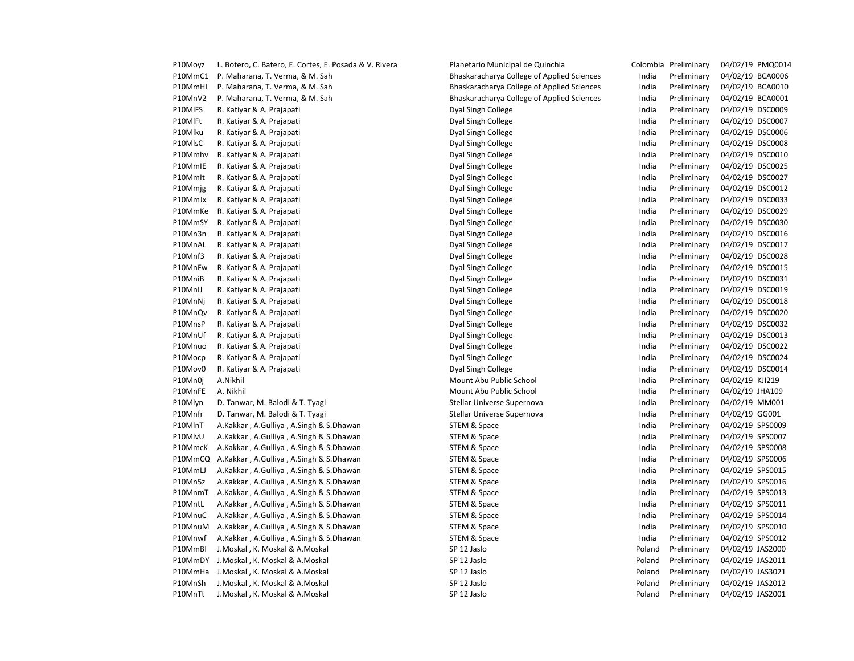| P10Moyz | L. Botero, C. Batero, E. Cortes, E. Posada & V. Rivera | Planetario Municipal de Quinchia           |        | Colombia Preliminary | 04/02/19 PMQ0014 |
|---------|--------------------------------------------------------|--------------------------------------------|--------|----------------------|------------------|
| P10MmC1 | P. Maharana, T. Verma, & M. Sah                        | Bhaskaracharya College of Applied Sciences | India  | Preliminary          | 04/02/19 BCA0006 |
| P10MmHI | P. Maharana, T. Verma, & M. Sah                        | Bhaskaracharya College of Applied Sciences | India  | Preliminary          | 04/02/19 BCA0010 |
| P10MnV2 | P. Maharana, T. Verma, & M. Sah                        | Bhaskaracharya College of Applied Sciences | India  | Preliminary          | 04/02/19 BCA0001 |
| P10MIFS | R. Katiyar & A. Prajapati                              | Dyal Singh College                         | India  | Preliminary          | 04/02/19 DSC0009 |
| P10MIFt | R. Katiyar & A. Prajapati                              | Dyal Singh College                         | India  | Preliminary          | 04/02/19 DSC0007 |
| P10Mlku | R. Katiyar & A. Prajapati                              | Dyal Singh College                         | India  | Preliminary          | 04/02/19 DSC0006 |
| P10MlsC | R. Katiyar & A. Prajapati                              | Dyal Singh College                         | India  | Preliminary          | 04/02/19 DSC0008 |
| P10Mmhv | R. Katiyar & A. Prajapati                              | Dyal Singh College                         | India  | Preliminary          | 04/02/19 DSC0010 |
| P10MmIE | R. Katiyar & A. Prajapati                              | Dyal Singh College                         | India  | Preliminary          | 04/02/19 DSC0025 |
| P10Mmlt | R. Katiyar & A. Prajapati                              | Dyal Singh College                         | India  | Preliminary          | 04/02/19 DSC0027 |
| P10Mmjg | R. Katiyar & A. Prajapati                              | Dyal Singh College                         | India  | Preliminary          | 04/02/19 DSC0012 |
| P10MmJx | R. Katiyar & A. Prajapati                              | Dyal Singh College                         | India  | Preliminary          | 04/02/19 DSC0033 |
| P10MmKe | R. Katiyar & A. Prajapati                              | Dyal Singh College                         | India  | Preliminary          | 04/02/19 DSC0029 |
| P10MmSY |                                                        |                                            | India  | Preliminary          | 04/02/19 DSC0030 |
|         | R. Katiyar & A. Prajapati                              | Dyal Singh College                         |        |                      |                  |
| P10Mn3n | R. Katiyar & A. Prajapati                              | Dyal Singh College                         | India  | Preliminary          | 04/02/19 DSC0016 |
| P10MnAL | R. Katiyar & A. Prajapati                              | Dyal Singh College                         | India  | Preliminary          | 04/02/19 DSC0017 |
| P10Mnf3 | R. Katiyar & A. Prajapati                              | Dyal Singh College                         | India  | Preliminary          | 04/02/19 DSC0028 |
| P10MnFw | R. Katiyar & A. Prajapati                              | Dyal Singh College                         | India  | Preliminary          | 04/02/19 DSC0015 |
| P10MniB | R. Katiyar & A. Prajapati                              | Dyal Singh College                         | India  | Preliminary          | 04/02/19 DSC0031 |
| P10MnIJ | R. Katiyar & A. Prajapati                              | Dyal Singh College                         | India  | Preliminary          | 04/02/19 DSC0019 |
| P10MnNj | R. Katiyar & A. Prajapati                              | Dyal Singh College                         | India  | Preliminary          | 04/02/19 DSC0018 |
| P10MnQv | R. Katiyar & A. Prajapati                              | Dyal Singh College                         | India  | Preliminary          | 04/02/19 DSC0020 |
| P10MnsP | R. Katiyar & A. Prajapati                              | Dyal Singh College                         | India  | Preliminary          | 04/02/19 DSC0032 |
| P10MnUf | R. Katiyar & A. Prajapati                              | Dyal Singh College                         | India  | Preliminary          | 04/02/19 DSC0013 |
| P10Mnuo | R. Katiyar & A. Prajapati                              | Dyal Singh College                         | India  | Preliminary          | 04/02/19 DSC0022 |
| P10Mocp | R. Katiyar & A. Prajapati                              | Dyal Singh College                         | India  | Preliminary          | 04/02/19 DSC0024 |
| P10Mov0 | R. Katiyar & A. Prajapati                              | Dyal Singh College                         | India  | Preliminary          | 04/02/19 DSC0014 |
| P10Mn0j | A.Nikhil                                               | Mount Abu Public School                    | India  | Preliminary          | 04/02/19 KJI219  |
| P10MnFE | A. Nikhil                                              | Mount Abu Public School                    | India  | Preliminary          | 04/02/19 JHA109  |
| P10Mlyn | D. Tanwar, M. Balodi & T. Tyagi                        | Stellar Universe Supernova                 | India  | Preliminary          | 04/02/19 MM001   |
| P10Mnfr | D. Tanwar, M. Balodi & T. Tyagi                        | Stellar Universe Supernova                 | India  | Preliminary          | 04/02/19 GG001   |
| P10MInT | A.Kakkar, A.Gulliya, A.Singh & S.Dhawan                | STEM & Space                               | India  | Preliminary          | 04/02/19 SPS0009 |
| P10MlvU | A.Kakkar, A.Gulliya, A.Singh & S.Dhawan                | STEM & Space                               | India  | Preliminary          | 04/02/19 SPS0007 |
| P10MmcK | A.Kakkar, A.Gulliya, A.Singh & S.Dhawan                | STEM & Space                               | India  | Preliminary          | 04/02/19 SPS0008 |
| P10MmCQ | A.Kakkar, A.Gulliya, A.Singh & S.Dhawan                | STEM & Space                               | India  | Preliminary          | 04/02/19 SPS0006 |
| P10MmLJ | A.Kakkar, A.Gulliya, A.Singh & S.Dhawan                | STEM & Space                               | India  | Preliminary          | 04/02/19 SPS0015 |
| P10Mn5z | A.Kakkar, A.Gulliya, A.Singh & S.Dhawan                | STEM & Space                               | India  | Preliminary          | 04/02/19 SPS0016 |
| P10MnmT | A.Kakkar, A.Gulliya, A.Singh & S.Dhawan                | STEM & Space                               | India  | Preliminary          | 04/02/19 SPS0013 |
| P10MntL | A.Kakkar, A.Gulliya, A.Singh & S.Dhawan                | STEM & Space                               | India  | Preliminary          | 04/02/19 SPS0011 |
| P10MnuC | A.Kakkar, A.Gulliya, A.Singh & S.Dhawan                | STEM & Space                               | India  | Preliminary          | 04/02/19 SPS0014 |
| P10MnuM | A.Kakkar, A.Gulliya, A.Singh & S.Dhawan                | STEM & Space                               | India  | Preliminary          | 04/02/19 SPS0010 |
| P10Mnwf | A.Kakkar, A.Gulliya, A.Singh & S.Dhawan                | STEM & Space                               | India  | Preliminary          | 04/02/19 SPS0012 |
| P10MmBI |                                                        | SP 12 Jaslo                                |        | Preliminary          | 04/02/19 JAS2000 |
|         | J.Moskal, K. Moskal & A.Moskal                         |                                            | Poland |                      |                  |
| P10MmDY | J.Moskal, K. Moskal & A.Moskal                         | SP 12 Jaslo                                | Poland | Preliminary          | 04/02/19 JAS2011 |
| P10MmHa | J.Moskal, K. Moskal & A.Moskal                         | SP 12 Jaslo                                | Poland | Preliminary          | 04/02/19 JAS3021 |
| P10MnSh | J.Moskal, K. Moskal & A.Moskal                         | SP 12 Jaslo                                | Poland | Preliminary          | 04/02/19 JAS2012 |
| P10MnTt | J.Moskal, K. Moskal & A.Moskal                         | SP 12 Jaslo                                | Poland | Preliminary          | 04/02/19 JAS2001 |